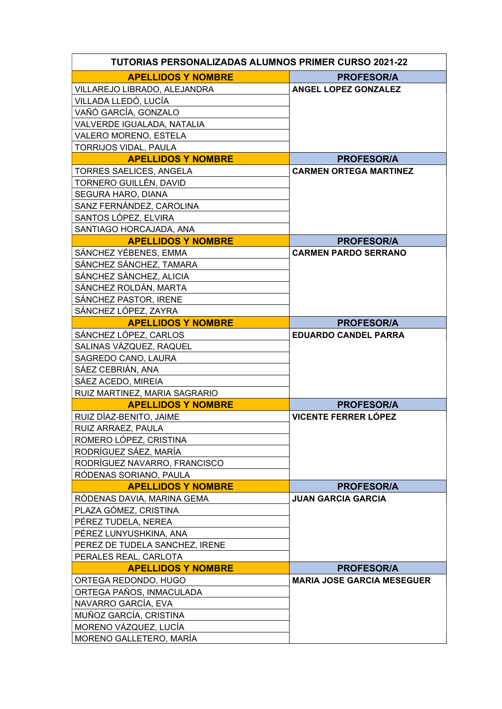| <b>TUTORIAS PERSONALIZADAS ALUMNOS PRIMER CURSO 2021-22</b> |                                   |  |
|-------------------------------------------------------------|-----------------------------------|--|
| <b>APELLIDOS Y NOMBRE</b>                                   | <b>PROFESOR/A</b>                 |  |
| VILLAREJO LIBRADO, ALEJANDRA                                | <b>ANGEL LOPEZ GONZALEZ</b>       |  |
| VILLADA LLEDÓ, LUCÍA                                        |                                   |  |
| VAÑÓ GARCÍA, GONZALO                                        |                                   |  |
| VALVERDE IGUALADA, NATALIA                                  |                                   |  |
| VALERO MORENO, ESTELA                                       |                                   |  |
| TORRIJOS VIDAL, PAULA                                       |                                   |  |
| <b>APELLIDOS Y NOMBRE</b>                                   | <b>PROFESOR/A</b>                 |  |
| <b>TORRES SAELICES, ANGELA</b>                              | <b>CARMEN ORTEGA MARTINEZ</b>     |  |
| TORNERO GUILLÉN, DAVID                                      |                                   |  |
| SEGURA HARO, DIANA                                          |                                   |  |
| SANZ FERNÁNDEZ, CAROLINA                                    |                                   |  |
| SANTOS LÓPEZ, ELVIRA                                        |                                   |  |
| SANTIAGO HORCAJADA, ANA                                     |                                   |  |
| <b>APELLIDOS Y NOMBRE</b>                                   | <b>PROFESOR/A</b>                 |  |
| SÁNCHEZ YÉBENES, EMMA                                       | <b>CARMEN PARDO SERRANO</b>       |  |
| SÁNCHEZ SÁNCHEZ, TAMARA                                     |                                   |  |
| SÁNCHEZ SÁNCHEZ, ALICIA                                     |                                   |  |
| SÁNCHEZ ROLDÁN, MARTA                                       |                                   |  |
| SÁNCHEZ PASTOR, IRENE                                       |                                   |  |
| SÁNCHEZ LÓPEZ, ZAYRA                                        |                                   |  |
| <b>APELLIDOS Y NOMBRE</b>                                   | <b>PROFESOR/A</b>                 |  |
| SÁNCHEZ LÓPEZ, CARLOS                                       | <b>EDUARDO CANDEL PARRA</b>       |  |
| SALINAS VÁZQUEZ, RAQUEL                                     |                                   |  |
| SAGREDO CANO, LAURA                                         |                                   |  |
| SÁEZ CEBRIÁN, ANA                                           |                                   |  |
| SÁEZ ACEDO, MIREIA                                          |                                   |  |
| RUIZ MARTINEZ, MARIA SAGRARIO                               |                                   |  |
| <b>APELLIDOS Y NOMBRE</b>                                   | <b>PROFESOR/A</b>                 |  |
| RUIZ DÍAZ-BENITO, JAIME                                     | <b>VICENTE FERRER LÓPEZ</b>       |  |
| RUIZ ARRAEZ, PAULA                                          |                                   |  |
| ROMERO LÓPEZ, CRISTINA                                      |                                   |  |
| RODRÍGUEZ SÁEZ, MARÍA                                       |                                   |  |
| RODRÍGUEZ NAVARRO, FRANCISCO                                |                                   |  |
| RÓDENAS SORIANO, PAULA                                      |                                   |  |
| <b>APELLIDOS Y NOMBRE</b>                                   | <b>PROFESOR/A</b>                 |  |
| RÓDENAS DAVIA, MARINA GEMA                                  | <b>JUAN GARCIA GARCIA</b>         |  |
| PLAZA GÓMEZ, CRISTINA                                       |                                   |  |
| PÉREZ TUDELA, NEREA                                         |                                   |  |
| PÉREZ LUNYUSHKINA, ANA                                      |                                   |  |
| PEREZ DE TUDELA SANCHEZ, IRENE                              |                                   |  |
| PERALES REAL, CARLOTA                                       |                                   |  |
| <b>APELLIDOS Y NOMBRE</b>                                   | <b>PROFESOR/A</b>                 |  |
| ORTEGA REDONDO, HUGO                                        | <b>MARIA JOSE GARCIA MESEGUER</b> |  |
| ORTEGA PAÑOS, INMACULADA                                    |                                   |  |
| NAVARRO GARCÍA, EVA                                         |                                   |  |
| MUÑOZ GARCÍA, CRISTINA                                      |                                   |  |
| MORENO VÁZQUEZ, LUCÍA                                       |                                   |  |
| MORENO GALLETERO, MARÍA                                     |                                   |  |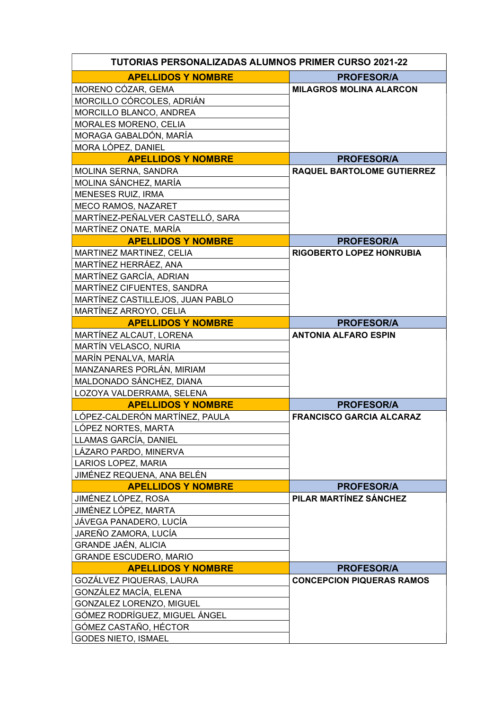| <b>TUTORIAS PERSONALIZADAS ALUMNOS PRIMER CURSO 2021-22</b> |                                   |  |
|-------------------------------------------------------------|-----------------------------------|--|
| <b>APELLIDOS Y NOMBRE</b>                                   | <b>PROFESOR/A</b>                 |  |
| MORENO CÓZAR, GEMA                                          | <b>MILAGROS MOLINA ALARCON</b>    |  |
| MORCILLO CÓRCOLES, ADRIÁN                                   |                                   |  |
| MORCILLO BLANCO, ANDREA                                     |                                   |  |
| MORALES MORENO, CELIA                                       |                                   |  |
| MORAGA GABALDÓN, MARÍA                                      |                                   |  |
| MORA LÓPEZ, DANIEL                                          |                                   |  |
| <b>APELLIDOS Y NOMBRE</b>                                   | <b>PROFESOR/A</b>                 |  |
| MOLINA SERNA, SANDRA                                        | <b>RAQUEL BARTOLOME GUTIERREZ</b> |  |
| MOLINA SÁNCHEZ, MARÍA                                       |                                   |  |
| <b>MENESES RUIZ, IRMA</b>                                   |                                   |  |
| <b>MECO RAMOS, NAZARET</b>                                  |                                   |  |
| MARTÍNEZ-PEÑALVER CASTELLÓ, SARA                            |                                   |  |
| MARTÍNEZ ONATE, MARÍA                                       |                                   |  |
| <b>APELLIDOS Y NOMBRE</b>                                   | <b>PROFESOR/A</b>                 |  |
| MARTINEZ MARTINEZ, CELIA                                    | <b>RIGOBERTO LOPEZ HONRUBIA</b>   |  |
| MARTÍNEZ HERRÁEZ, ANA                                       |                                   |  |
| MARTÍNEZ GARCÍA, ADRIAN                                     |                                   |  |
| MARTÍNEZ CIFUENTES, SANDRA                                  |                                   |  |
| MARTÍNEZ CASTILLEJOS, JUAN PABLO                            |                                   |  |
| MARTÍNEZ ARROYO, CELIA                                      |                                   |  |
| <b>APELLIDOS Y NOMBRE</b>                                   | <b>PROFESOR/A</b>                 |  |
| MARTÍNEZ ALCAUT, LORENA                                     | <b>ANTONIA ALFARO ESPIN</b>       |  |
| MARTÍN VELASCO, NURIA                                       |                                   |  |
| MARÍN PENALVA, MARÍA                                        |                                   |  |
| MANZANARES PORLÁN, MIRIAM                                   |                                   |  |
| MALDONADO SÁNCHEZ, DIANA                                    |                                   |  |
| LOZOYA VALDERRAMA, SELENA                                   |                                   |  |
| <b>APELLIDOS Y NOMBRE</b>                                   | <b>PROFESOR/A</b>                 |  |
| LÓPEZ-CALDERÓN MARTÍNEZ, PAULA                              | <b>FRANCISCO GARCIA ALCARAZ</b>   |  |
| LÓPEZ NORTES, MARTA                                         |                                   |  |
| LLAMAS GARCÍA, DANIEL                                       |                                   |  |
| LÁZARO PARDO, MINERVA                                       |                                   |  |
| LARIOS LOPEZ, MARIA                                         |                                   |  |
| JIMÉNEZ REQUENA, ANA BELÉN                                  |                                   |  |
| <b>APELLIDOS Y NOMBRE</b>                                   | <b>PROFESOR/A</b>                 |  |
| JIMÉNEZ LÓPEZ, ROSA                                         | PILAR MARTÍNEZ SÁNCHEZ            |  |
| JIMÉNEZ LÓPEZ, MARTA                                        |                                   |  |
| JÁVEGA PANADERO, LUCÍA                                      |                                   |  |
| JAREÑO ZAMORA, LUCÍA                                        |                                   |  |
| <b>GRANDE JAÉN, ALICIA</b>                                  |                                   |  |
| <b>GRANDE ESCUDERO, MARIO</b>                               |                                   |  |
| <b>APELLIDOS Y NOMBRE</b>                                   | <b>PROFESOR/A</b>                 |  |
| GOZÁLVEZ PIQUERAS, LAURA                                    | <b>CONCEPCION PIQUERAS RAMOS</b>  |  |
| GONZÁLEZ MACÍA, ELENA                                       |                                   |  |
| GONZALEZ LORENZO, MIGUEL                                    |                                   |  |
| GÓMEZ RODRÍGUEZ, MIGUEL ÁNGEL                               |                                   |  |
| GÓMEZ CASTAÑO, HÉCTOR                                       |                                   |  |
| <b>GODES NIETO, ISMAEL</b>                                  |                                   |  |